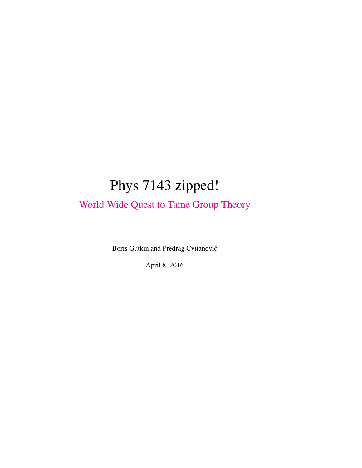# Phys 7143 zipped!

[World Wide Quest to Tame Group Theory](http://birdtracks.eu/~predrag/courses/PHYS-7143-16/index.html)

Boris Gutkin and Predrag Cvitanovic´

April 8, 2016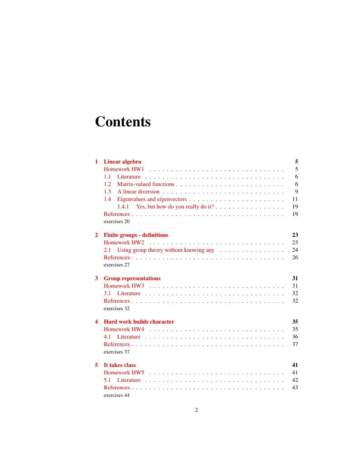# **Contents**

| 1                | 5<br>Linear algebra                                                                                                                                                                                                            |    |  |  |  |  |  |  |  |  |  |
|------------------|--------------------------------------------------------------------------------------------------------------------------------------------------------------------------------------------------------------------------------|----|--|--|--|--|--|--|--|--|--|
|                  | Homework HW1                                                                                                                                                                                                                   | 5  |  |  |  |  |  |  |  |  |  |
|                  | 1.1                                                                                                                                                                                                                            | 6  |  |  |  |  |  |  |  |  |  |
|                  | 1.2.                                                                                                                                                                                                                           | 6  |  |  |  |  |  |  |  |  |  |
|                  | 9<br>1.3                                                                                                                                                                                                                       |    |  |  |  |  |  |  |  |  |  |
|                  | 1.4                                                                                                                                                                                                                            | 11 |  |  |  |  |  |  |  |  |  |
|                  | 1.4.1                                                                                                                                                                                                                          | 19 |  |  |  |  |  |  |  |  |  |
|                  |                                                                                                                                                                                                                                |    |  |  |  |  |  |  |  |  |  |
|                  | exercises 20                                                                                                                                                                                                                   |    |  |  |  |  |  |  |  |  |  |
| $\overline{2}$   | 23<br><b>Finite groups - definitions</b>                                                                                                                                                                                       |    |  |  |  |  |  |  |  |  |  |
|                  |                                                                                                                                                                                                                                | 23 |  |  |  |  |  |  |  |  |  |
|                  | Using group theory without knowing any $\dots \dots \dots \dots \dots$<br>2.1                                                                                                                                                  | 24 |  |  |  |  |  |  |  |  |  |
|                  |                                                                                                                                                                                                                                | 26 |  |  |  |  |  |  |  |  |  |
|                  | exercises 27                                                                                                                                                                                                                   |    |  |  |  |  |  |  |  |  |  |
| 3                | <b>Group representations</b>                                                                                                                                                                                                   | 31 |  |  |  |  |  |  |  |  |  |
|                  |                                                                                                                                                                                                                                | 31 |  |  |  |  |  |  |  |  |  |
|                  |                                                                                                                                                                                                                                | 32 |  |  |  |  |  |  |  |  |  |
|                  |                                                                                                                                                                                                                                | 32 |  |  |  |  |  |  |  |  |  |
|                  | exercises 32                                                                                                                                                                                                                   |    |  |  |  |  |  |  |  |  |  |
| $\blacktriangle$ | <b>Hard work builds character</b>                                                                                                                                                                                              | 35 |  |  |  |  |  |  |  |  |  |
|                  |                                                                                                                                                                                                                                | 35 |  |  |  |  |  |  |  |  |  |
|                  | 4.1 Literature engage and contained a series of the contact of the contact of the contact of the contact of the contact of the contact of the contact of the contact of the contact of the contact of the contact of the conta | 36 |  |  |  |  |  |  |  |  |  |
|                  |                                                                                                                                                                                                                                | 37 |  |  |  |  |  |  |  |  |  |
|                  | exercises 37                                                                                                                                                                                                                   |    |  |  |  |  |  |  |  |  |  |
| 5                | It takes class<br>41                                                                                                                                                                                                           |    |  |  |  |  |  |  |  |  |  |
|                  |                                                                                                                                                                                                                                | 41 |  |  |  |  |  |  |  |  |  |
|                  | 5.1                                                                                                                                                                                                                            | 42 |  |  |  |  |  |  |  |  |  |
|                  |                                                                                                                                                                                                                                | 43 |  |  |  |  |  |  |  |  |  |
|                  | exercises 44                                                                                                                                                                                                                   |    |  |  |  |  |  |  |  |  |  |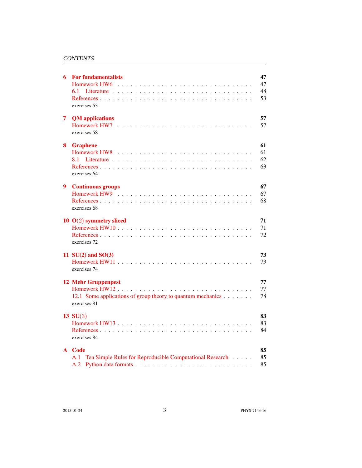#### **CONTENTS**

| 6 | <b>For fundamentalists</b><br>exercises 53                                                                | 47<br>47<br>48<br>53 |
|---|-----------------------------------------------------------------------------------------------------------|----------------------|
| 7 | <b>QM</b> applications<br>exercises 58                                                                    | 57<br>57             |
| 8 | <b>Graphene</b><br>8.1<br>exercises 64                                                                    | 61<br>61<br>62<br>63 |
| 9 | <b>Continuous groups</b><br>exercises 68                                                                  | 67<br>67<br>68       |
|   | 10 $O(2)$ symmetry sliced<br>exercises 72                                                                 | 71<br>71<br>72       |
|   | 11 $SU(2)$ and $SO(3)$<br>exercises 74                                                                    | 73<br>73             |
|   | <b>12 Mehr Gruppenpest</b><br>12.1 Some applications of group theory to quantum mechanics<br>exercises 81 | 77<br>77<br>78       |
|   | 13 $SU(3)$<br>exercises 84                                                                                | 83<br>83<br>84       |
|   | A Code<br>Ten Simple Rules for Reproducible Computational Research<br>A.1<br>A.2                          | 85<br>85<br>85       |

2015-01-24 3 PHYS-7143-16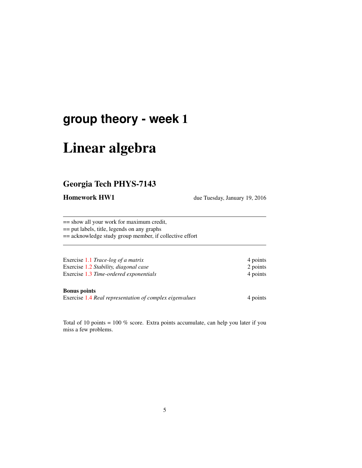## **group theory - week** 1

# Linear algebra

### Georgia Tech PHYS-7143

**Homework HW1** due Tuesday, January 19, 2016

== show all your work for maximum credit, == put labels, title, legends on any graphs == acknowledge study group member, if collective effort

Exercise 1.1 *Trace-log of a matrix* 4 points Exercise 1.2 *Stability, diagonal case* 2 points Exercise 1.3 *Time-ordered exponentials* 4 points

#### Bonus points

Exercise 1.4 *Real representation of complex eigenvalues* 4 points

Total of 10 points = 100 % score. Extra points accumulate, can help you later if you miss a few problems.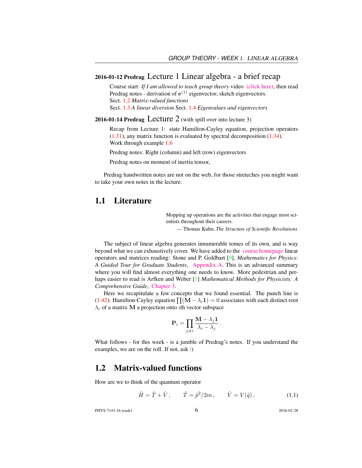#### 2016-01-12 Predrag Lecture 1 Linear algebra - a brief recap

Course start: *If I am allowed to teach group theory* video [\(click here\),](https://www.youtube.com/embed/k7Fakf51jGQ) then read Predrag notes - derivation of  $e^{(1)}$  eigenvector; sketch eigenvectors. Sect. 1.2 *Matrix-valued functions* Sect. 1.3 *A linear diversion* Sect. 1.4 *Eigenvalues and eigenvectors*

2016-01-14 Predrag Lecture  $2$  (with spill over into lecture 3)

Recap from Lecture 1: state Hamilton-Cayley equation, projection operators (1.31), any matrix function is evaluated by spectral decomposition (1.34). Work through example 1.6

Predrag notes: Right (column) and left (row) eigenvectors

Predrag notes on moment of inertia tensor,

Predrag handwritten notes are not on the web, for those streteches you might want to take your own notes in the lecture.

#### 1.1 Literature

Mopping up operations are the activities that engage most scientists throughout their careers.

— Thomas Kuhn, *The Structure of Scientific Revolutions*

The subject of linear algebra generates innumerable tomes of its own, and is way beyond what we can exhaustively cover. We have added to the [course homepage](http://ChaosBook.org/~predrag/courses/PHYS-7143-16/schedule.html) linear operators and matrices reading: Stone and P. Goldbart [9], *Mathematics for Physics: A Guided Tour for Graduate Students*, [Appendix A.](http://ChaosBook.org/~predrag/courses/PHYS-7143-16/StGoAppA.pdf) This is an advanced summary where you will find almost everything one needs to know. More pedestrian and perhaps easier to read is Arfken and Weber [1] *Mathematical Methods for Physicists: A Comprehensive Guide*, [Chapter 3.](http://ChaosBook.org/~predrag/courses/PHYS-7143-16/ArWe05chap3.pdf)

Here we recapitulate a few concepts that we found essential. The punch line is (1.42): Hamilton-Cayley equation  $\prod (M - \lambda_i 1) = 0$  associates with each distinct root  $\lambda_i$  of a matrix M a projection onto *i*th vector subspace

$$
\mathbf{P}_i = \prod_{j \neq i} \frac{\mathbf{M} - \lambda_j \mathbf{1}}{\lambda_i - \lambda_j}.
$$

What follows - for this week - is a jumble of Predrag's notes. If you understand the examples, we are on the roll. If not, ask :)

### 1.2 Matrix-valued functions

How are we to think of the quantum operator

$$
\hat{H} = \hat{T} + \hat{V}, \qquad \hat{T} = \hat{p}^2 / 2m, \qquad \hat{V} = V(\hat{q}),
$$
\n(1.1)

PHYS-7143-16 week1 6 2016-01-28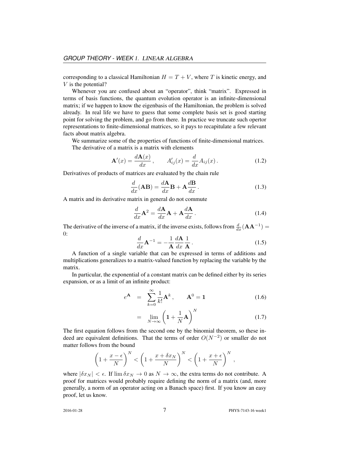corresponding to a classical Hamiltonian  $H = T + V$ , where T is kinetic energy, and V is the potential?

Whenever you are confused about an "operator", think "matrix". Expressed in terms of basis functions, the quantum evolution operator is an infinite-dimensional matrix; if we happen to know the eigenbasis of the Hamiltonian, the problem is solved already. In real life we have to guess that some complete basis set is good starting point for solving the problem, and go from there. In practice we truncate such opertor representations to finite-dimensional matrices, so it pays to recapitulate a few relevant facts about matrix algebra.

We summarize some of the properties of functions of finite-dimensional matrices. The derivative of a matrix is a matrix with elements

$$
\mathbf{A}'(x) = \frac{d\mathbf{A}(x)}{dx}, \qquad A'_{ij}(x) = \frac{d}{dx}A_{ij}(x). \tag{1.2}
$$

Derivatives of products of matrices are evaluated by the chain rule

$$
\frac{d}{dx}(\mathbf{AB}) = \frac{d\mathbf{A}}{dx}\mathbf{B} + \mathbf{A}\frac{d\mathbf{B}}{dx}.
$$
\n(1.3)

A matrix and its derivative matrix in general do not commute

$$
\frac{d}{dx}\mathbf{A}^2 = \frac{d\mathbf{A}}{dx}\mathbf{A} + \mathbf{A}\frac{d\mathbf{A}}{dx}.
$$
 (1.4)

The derivative of the inverse of a matrix, if the inverse exists, follows from  $\frac{d}{dx}(\mathbf{A}\mathbf{A}^{-1}) =$ 0:

$$
\frac{d}{dx}\mathbf{A}^{-1} = -\frac{1}{\mathbf{A}}\frac{d\mathbf{A}}{dx}\frac{1}{\mathbf{A}}.
$$
 (1.5)

A function of a single variable that can be expressed in terms of additions and multiplications generalizes to a matrix-valued function by replacing the variable by the matrix.

In particular, the exponential of a constant matrix can be defined either by its series expansion, or as a limit of an infinite product:

$$
e^{\mathbf{A}} = \sum_{k=0}^{\infty} \frac{1}{k!} \mathbf{A}^{k}, \qquad \mathbf{A}^{0} = \mathbf{1}
$$
 (1.6)

$$
= \lim_{N \to \infty} \left( 1 + \frac{1}{N} \mathbf{A} \right)^N \tag{1.7}
$$

The first equation follows from the second one by the binomial theorem, so these indeed are equivalent definitions. That the terms of order  $O(N^{-2})$  or smaller do not matter follows from the bound

$$
\left(1+\frac{x-\epsilon}{N}\right)^N < \left(1+\frac{x+\delta x_N}{N}\right)^N < \left(1+\frac{x+\epsilon}{N}\right)^N,
$$

where  $|\delta x_N| < \epsilon$ . If  $\lim \delta x_N \to 0$  as  $N \to \infty$ , the extra terms do not contribute. A proof for matrices would probably require defining the norm of a matrix (and, more generally, a norm of an operator acting on a Banach space) first. If you know an easy proof, let us know.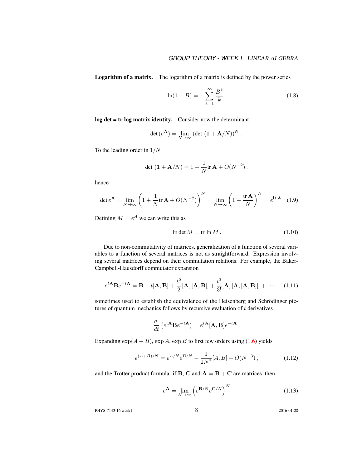Logarithm of a matrix. The logarithm of a matrix is defined by the power series

$$
\ln(1 - B) = -\sum_{k=1}^{\infty} \frac{B^k}{k}.
$$
\n(1.8)

.

log det = tr log matrix identity. Consider now the determinant

$$
\det(e^{\mathbf{A}}) = \lim_{N \to \infty} (\det(\mathbf{1} + \mathbf{A}/N))^N
$$

To the leading order in  $1/N$ 

$$
\det (1 + A/N) = 1 + \frac{1}{N} tr A + O(N^{-2}).
$$

hence

$$
\det e^{\mathbf{A}} = \lim_{N \to \infty} \left( 1 + \frac{1}{N} \text{tr} \, \mathbf{A} + O(N^{-2}) \right)^N = \lim_{N \to \infty} \left( 1 + \frac{\text{tr} \, \mathbf{A}}{N} \right)^N = e^{\text{tr} \, \mathbf{A}} \tag{1.9}
$$

Defining  $M = e^A$  we can write this as

$$
\ln \det M = \text{tr} \ln M. \tag{1.10}
$$

Due to non-commutativity of matrices, generalization of a function of several variables to a function of several matrices is not as straightforward. Expression involving several matrices depend on their commutation relations. For example, the Baker-Campbell-Hausdorff commutator expansion

$$
e^{t\mathbf{A}}\mathbf{B}e^{-t\mathbf{A}} = \mathbf{B} + t[\mathbf{A}, \mathbf{B}] + \frac{t^2}{2}[\mathbf{A}, [\mathbf{A}, \mathbf{B}]] + \frac{t^3}{3!}[\mathbf{A}, [\mathbf{A}, [\mathbf{A}, \mathbf{B}]]] + \cdots \quad (1.11)
$$

sometimes used to establish the equivalence of the Heisenberg and Schrödinger pictures of quantum mechanics follows by recursive evaluation of  $t$  derivatives

$$
\frac{d}{dt}\left(e^{t\mathbf{A}}\mathbf{B}e^{-t\mathbf{A}}\right) = e^{t\mathbf{A}}[\mathbf{A},\mathbf{B}]e^{-t\mathbf{A}}.
$$

Expanding  $\exp(A + B)$ ,  $\exp A$ ,  $\exp B$  to first few orders using (1.6) yields

$$
e^{(A+B)/N} = e^{A/N} e^{B/N} - \frac{1}{2N^2} [A, B] + O(N^{-3}), \qquad (1.12)
$$

and the Trotter product formula: if  $B$ ,  $C$  and  $A = B + C$  are matrices, then

$$
e^{\mathbf{A}} = \lim_{N \to \infty} \left( e^{\mathbf{B}/N} e^{\mathbf{C}/N} \right)^N \tag{1.13}
$$

PHYS-7143-16 week1 8 2016-01-28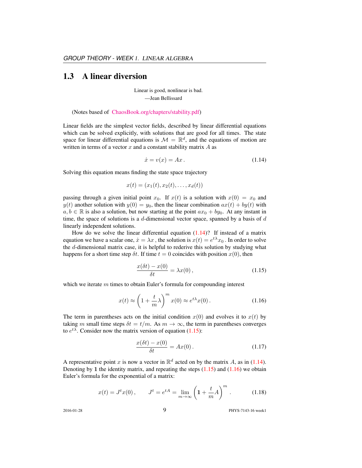#### 1.3 A linear diversion

Linear is good, nonlinear is bad. —Jean Bellissard

(Notes based of [ChaosBook.org/chapters/stability.pdf\)](http://ChaosBook.org/chapters/stability.pdf)

Linear fields are the simplest vector fields, described by linear differential equations which can be solved explicitly, with solutions that are good for all times. The state space for linear differential equations is  $\mathcal{M} = \mathbb{R}^d$ , and the equations of motion are written in terms of a vector  $x$  and a constant stability matrix  $A$  as

$$
\dot{x} = v(x) = Ax. \tag{1.14}
$$

Solving this equation means finding the state space trajectory

$$
x(t) = (x_1(t), x_2(t), \dots, x_d(t))
$$

passing through a given initial point  $x_0$ . If  $x(t)$  is a solution with  $x(0) = x_0$  and  $y(t)$  another solution with  $y(0) = y_0$ , then the linear combination  $ax(t) + by(t)$  with  $a, b \in \mathbb{R}$  is also a solution, but now starting at the point  $ax_0 + by_0$ . At any instant in time, the space of solutions is a  $d$ -dimensional vector space, spanned by a basis of  $d$ linearly independent solutions.

How do we solve the linear differential equation  $(1.14)$ ? If instead of a matrix equation we have a scalar one,  $\dot{x} = \lambda x$  , the solution is  $x(t) = e^{t\lambda}x_0$  . In order to solve the d-dimensional matrix case, it is helpful to rederive this solution by studying what happens for a short time step  $\delta t$ . If time  $t = 0$  coincides with position  $x(0)$ , then

$$
\frac{x(\delta t) - x(0)}{\delta t} = \lambda x(0),\tag{1.15}
$$

which we iterate  $m$  times to obtain Euler's formula for compounding interest

$$
x(t) \approx \left(1 + \frac{t}{m}\lambda\right)^m x(0) \approx e^{t\lambda}x(0). \tag{1.16}
$$

The term in parentheses acts on the initial condition  $x(0)$  and evolves it to  $x(t)$  by taking m small time steps  $\delta t = t/m$ . As  $m \to \infty$ , the term in parentheses converges to  $e^{t\lambda}$ . Consider now the matrix version of equation (1.15):

$$
\frac{x(\delta t) - x(0)}{\delta t} = Ax(0). \tag{1.17}
$$

A representative point x is now a vector in  $\mathbb{R}^d$  acted on by the matrix A, as in (1.14). Denoting by 1 the identity matrix, and repeating the steps  $(1.15)$  and  $(1.16)$  we obtain Euler's formula for the exponential of a matrix:

$$
x(t) = Jt x(0), \t Jt = etA = \lim_{m \to \infty} \left( 1 + \frac{t}{m} A \right)^m.
$$
 (1.18)

2016-01-28 9 PHYS-7143-16 week1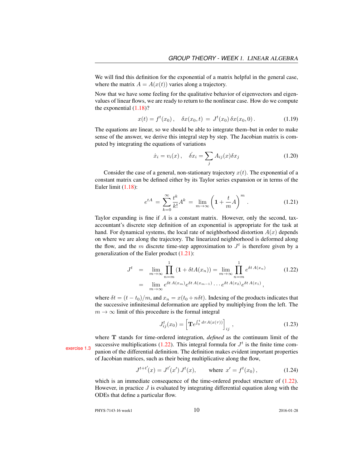We will find this definition for the exponential of a matrix helpful in the general case, where the matrix  $A = A(x(t))$  varies along a trajectory.

Now that we have some feeling for the qualitative behavior of eigenvectors and eigenvalues of linear flows, we are ready to return to the nonlinear case. How do we compute the exponential  $(1.18)$ ?

$$
x(t) = ft(x0), \quad \delta x(x0, t) = Jt(x0) \delta x(x0, 0).
$$
 (1.19)

The equations are linear, so we should be able to integrate them–but in order to make sense of the answer, we derive this integral step by step. The Jacobian matrix is computed by integrating the equations of variations

$$
\dot{x}_i = v_i(x), \quad \dot{\delta x}_i = \sum_j A_{ij}(x) \delta x_j \tag{1.20}
$$

Consider the case of a general, non-stationary trajectory  $x(t)$ . The exponential of a constant matrix can be defined either by its Taylor series expansion or in terms of the Euler limit (1.18):

$$
e^{tA} = \sum_{k=0}^{\infty} \frac{t^k}{k!} A^k = \lim_{m \to \infty} \left( 1 + \frac{t}{m} A \right)^m.
$$
 (1.21)

Taylor expanding is fine if  $A$  is a constant matrix. However, only the second, taxaccountant's discrete step definition of an exponential is appropriate for the task at hand. For dynamical systems, the local rate of neighborhood distortion  $A(x)$  depends on where we are along the trajectory. The linearized neighborhood is deformed along the flow, and the m discrete time-step approximation to  $J<sup>t</sup>$  is therefore given by a generalization of the Euler product (1.21):

$$
J^{t} = \lim_{m \to \infty} \prod_{n=m}^{1} (1 + \delta t A(x_{n})) = \lim_{m \to \infty} \prod_{n=m}^{1} e^{\delta t A(x_{n})}
$$
(1.22)  
= 
$$
\lim_{m \to \infty} e^{\delta t A(x_{m})} e^{\delta t A(x_{m-1})} \cdots e^{\delta t A(x_{2})} e^{\delta t A(x_{1})},
$$

where  $\delta t = (t - t_0)/m$ , and  $x_n = x(t_0 + n\delta t)$ . Indexing of the products indicates that the successive infinitesimal deformation are applied by multiplying from the left. The  $m \to \infty$  limit of this procedure is the formal integral

$$
J_{ij}^{t}(x_0) = \left[ \mathbf{T}e^{\int_0^t d\tau A(x(\tau))} \right]_{ij}, \qquad (1.23)
$$

where T stands for time-ordered integration, *defined* as the continuum limit of the exercise 1.3 successive multiplications (1.22). This integral formula for  $J<sup>t</sup>$  is the finite time com-<br>panion of the differential definition. The definition makes evident important properties of Jacobian matrices, such as their being multiplicative along the flow,

$$
J^{t+t'}(x) = J^{t'}(x') J^t(x), \qquad \text{where } x' = f^t(x_0), \tag{1.24}
$$

which is an immediate consequence of the time-ordered product structure of  $(1.22)$ . However, in practice  $J$  is evaluated by integrating differential equation along with the ODEs that define a particular flow.

PHYS-7143-16 week1 2016-01-28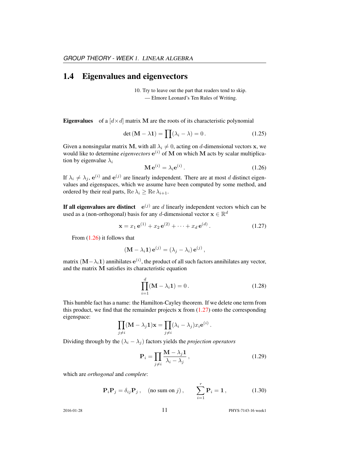#### 1.4 Eigenvalues and eigenvectors

10. Try to leave out the part that readers tend to skip. — Elmore Leonard's Ten Rules of Writing.

**Eigenvalues** of a  $[d \times d]$  matrix M are the roots of its characteristic polynomial

$$
\det\left(\mathbf{M} - \lambda \mathbf{1}\right) = \prod(\lambda_i - \lambda) = 0. \tag{1.25}
$$

Given a nonsingular matrix M, with all  $\lambda_i \neq 0$ , acting on d-dimensional vectors x, we would like to determine *eigenvectors*  $e^{(i)}$  of M on which M acts by scalar multiplication by eigenvalue  $\lambda_i$ 

$$
\mathbf{M} \,\mathbf{e}^{(i)} = \lambda_i \mathbf{e}^{(i)} \,. \tag{1.26}
$$

If  $\lambda_i \neq \lambda_j$ ,  $e^{(i)}$  and  $e^{(j)}$  are linearly independent. There are at most d distinct eigenvalues and eigenspaces, which we assume have been computed by some method, and ordered by their real parts, Re  $\lambda_i \geq \text{Re }\lambda_{i+1}$ .

If all eigenvalues are distinct  $e^{(j)}$  are d linearly independent vectors which can be used as a (non-orthogonal) basis for any d-dimensional vector  $\mathbf{x} \in \mathbb{R}^d$ 

$$
\mathbf{x} = x_1 \,\mathbf{e}^{(1)} + x_2 \,\mathbf{e}^{(2)} + \dots + x_d \,\mathbf{e}^{(d)}.
$$
 (1.27)

From (1.26) it follows that

$$
(\mathbf{M} - \lambda_i \mathbf{1}) \mathbf{e}^{(j)} = (\lambda_j - \lambda_i) \mathbf{e}^{(j)},
$$

matrix  $(\mathbf{M}-\lambda_i\mathbf{1})$  annihilates  $\mathbf{e}^{(i)}$ , the product of all such factors annihilates any vector, and the matrix M satisfies its characteristic equation

$$
\prod_{i=1}^{d} (\mathbf{M} - \lambda_i \mathbf{1}) = 0.
$$
 (1.28)

This humble fact has a name: the Hamilton-Cayley theorem. If we delete one term from this product, we find that the remainder projects  $x$  from (1.27) onto the corresponding eigenspace:

$$
\prod_{j \neq i} (\mathbf{M} - \lambda_j \mathbf{1}) \mathbf{x} = \prod_{j \neq i} (\lambda_i - \lambda_j) x_i e^{(i)}.
$$

Dividing through by the  $(\lambda_i - \lambda_j)$  factors yields the *projection operators* 

$$
\mathbf{P}_{i} = \prod_{j \neq i} \frac{\mathbf{M} - \lambda_{j} \mathbf{1}}{\lambda_{i} - \lambda_{j}},\tag{1.29}
$$

which are *orthogonal* and *complete*:

$$
\mathbf{P}_{i}\mathbf{P}_{j} = \delta_{ij}\mathbf{P}_{j}, \quad \text{(no sum on } j), \qquad \sum_{i=1}^{r} \mathbf{P}_{i} = \mathbf{1}, \tag{1.30}
$$

2016-01-28 11 PHYS-7143-16 week1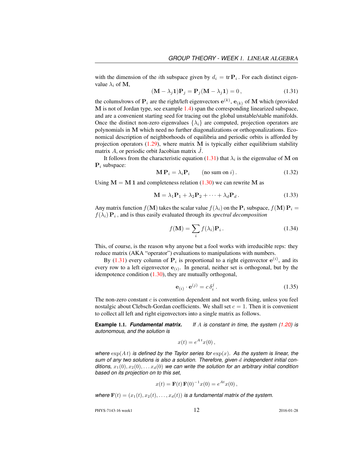with the dimension of the *i*th subspace given by  $d_i = \text{tr } \mathbf{P}_i$ . For each distinct eigenvalue  $\lambda_i$  of M,

$$
(\mathbf{M} - \lambda_j \mathbf{1})\mathbf{P}_j = \mathbf{P}_j(\mathbf{M} - \lambda_j \mathbf{1}) = 0, \qquad (1.31)
$$

the colums/rows of  $P_i$  are the right/left eigenvectors  $e^{(k)}$ ,  $e_{(k)}$  of M which (provided M is not of Jordan type, see example 1.4) span the corresponding linearized subspace, and are a convenient starting seed for tracing out the global unstable/stable manifolds. Once the distinct non-zero eigenvalues  $\{\lambda_i\}$  are computed, projection operators are polynomials in M which need no further diagonalizations or orthogonalizations. Economical description of neighborhoods of equilibria and periodic orbits is afforded by projection operators  $(1.29)$ , where matrix M is typically either equilibrium stability matrix  $A$ , or periodic orbit Jacobian matrix  $J$ .

It follows from the characteristic equation (1.31) that  $\lambda_i$  is the eigenvalue of M on  $P_i$  subspace:

$$
\mathbf{M}\,\mathbf{P}_i = \lambda_i \mathbf{P}_i \qquad \text{(no sum on } i\text{)}\,. \tag{1.32}
$$

Using  $M = M 1$  and completeness relation (1.30) we can rewrite M as

$$
\mathbf{M} = \lambda_1 \mathbf{P}_1 + \lambda_2 \mathbf{P}_2 + \dots + \lambda_d \mathbf{P}_d.
$$
 (1.33)

Any matrix function  $f(\mathbf{M})$  takes the scalar value  $f(\lambda_i)$  on the  $\mathbf{P}_i$  subspace,  $f(\mathbf{M}) \mathbf{P}_i =$  $f(\lambda_i) \mathbf{P}_i$ , and is thus easily evaluated through its *spectral decomposition* 

$$
f(\mathbf{M}) = \sum_{i} f(\lambda_i) \mathbf{P}_i.
$$
 (1.34)

This, of course, is the reason why anyone but a fool works with irreducible reps: they reduce matrix (AKA "operator") evaluations to manipulations with numbers.

By (1.31) every column of  $P_i$  is proportional to a right eigenvector  $e^{(i)}$ , and its every row to a left eigenvector  $e_{(i)}$ . In general, neither set is orthogonal, but by the idempotence condition (1.30), they are mutually orthogonal,

$$
\mathbf{e}_{(i)} \cdot \mathbf{e}^{(j)} = c \,\delta_i^j \,. \tag{1.35}
$$

The non-zero constant  $c$  is convention dependent and not worth fixing, unless you feel nostalgic about Clebsch-Gordan coefficients. We shall set  $c = 1$ . Then it is convenient to collect all left and right eigenvectors into a single matrix as follows.

**Example 1.1.** *Fundamental matrix.* If A is constant in time, the system (1.20) is *autonomous, and the solution is*

$$
x(t) = e^{A t} x(0),
$$

*where*  $\exp(At)$  *is defined by the Taylor series for*  $\exp(x)$ *. As the system is linear, the sum of any two solutions is also a solution. Therefore, given* d *independent initial conditions,*  $x_1(0), x_2(0), \ldots, x_d(0)$  *we can write the solution for an arbitrary initial condition based on its projection on to this set,*

$$
x(t) = \mathbf{F}(t) \mathbf{F}(0)^{-1} x(0) = e^{At} x(0),
$$

*where*  $\mathbf{F}(t) = (x_1(t), x_2(t), \dots, x_d(t))$  *is a fundamental matrix of the system.* 

PHYS-7143-16 week1 2016-01-28 2016-01-28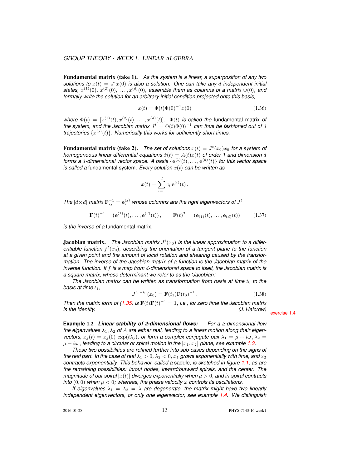Fundamental matrix (take 1). *As the system is a linear, a superposition of any two* solutions to  $x(t) = J<sup>t</sup> x(0)$  is also a solution. One can take any d independent initial states,  $x^{(1)}(0)$ ,  $x^{(2)}(0)$ , ...,  $x^{(d)}(0)$ , assemble them as columns of a matrix  $\Phi(0)$ , and *formally write the solution for an arbitrary initial condition projected onto this basis,*

$$
x(t) = \Phi(t)\Phi(0)^{-1}x(0)
$$
\n(1.36)

where  $\Phi(t) = [x^{(1)}(t), x^{(2)}(t), \cdots, x^{(d)}(t)].$   $\Phi(t)$  *is called the fundamental matrix of the system, and the Jacobian matrix*  $J^t = \Phi(t)\Phi(0)^{-1}$  can thus be fashioned out of d trajectories  $\{x^{(j)}(t)\}$ . Numerically this works for sufficiently short times.

Fundamental matrix (take 2). The set of solutions  $x(t) = J^t(x_0)x_0$  for a system of *homogeneous linear differential equations*  $\dot{x}(t) = A(t)x(t)$  *of order 1 and dimension* d forms a d-dimensional vector space. A basis  $\{e^{(1)}(t), \ldots, e^{(d)}(t)\}$  for this vector space *is called a* fundamental system. Every solution  $x(t)$  can be written as

$$
x(t) = \sum_{i=1}^{d} c_i e^{(i)}(t).
$$

The  $[d \times d]$  matrix  $\mathbf{F}_{ij}^{-1} = \mathbf{e}_i^{(j)}$  whose columns are the right eigenvectors of  $J^t$ 

$$
\mathbf{F}(t)^{-1} = (\mathbf{e}^{(1)}(t), \dots, \mathbf{e}^{(d)}(t)), \qquad \mathbf{F}(t)^{T} = (\mathbf{e}_{(1)}(t), \dots, \mathbf{e}_{(d)}(t))
$$
 (1.37)

*is the inverse of a* fundamental matrix*.*

**Jacobian matrix.** The Jacobian matrix  $J<sup>t</sup>(x<sub>0</sub>)$  is the linear approximation to a differentiable function  $f^t(x_0)$ , describing the orientation of a tangent plane to the function *at a given point and the amount of local rotation and shearing caused by the transformation. The inverse of the Jacobian matrix of a function is the Jacobian matrix of the inverse function. If* f *is a map from* d*-dimensional space to itself, the Jacobian matrix is a square matrix, whose determinant we refer to as the 'Jacobian.'*

*The Jacobian matrix can be written as transformation from basis at time*  $t_0$  to the *basis at time*  $t_1$ ,

$$
J^{t_1-t_0}(x_0) = \mathbf{F}(t_1)\mathbf{F}(t_0)^{-1}.
$$
 (1.38)

*Then the matrix form of (1.35) is*  $\mathbf{F}(t)\mathbf{F}(t)^{-1} = 1$ , *i.e., for zero time the Jacobian matrix is the identity. (J. Halcrow)* exercise 1.4

**Example** 1.2. *Linear stability of 2-dimensional flows: For a 2-dimensional flow the eigenvalues*  $\lambda_1, \lambda_2$  *of A are either real, leading to a linear motion along their eigenvectors,*  $x_i(t) = x_i(0) \exp(t\lambda_i)$ , or form a complex conjugate pair  $\lambda_1 = \mu + i\omega$ ,  $\lambda_2 =$  $\mu - i\omega$ , *leading to a circular or spiral motion in the*  $[x_1, x_2]$  *plane, see example* 1.3.

*These two possibilities are refined further into sub-cases depending on the signs of the real part. In the case of real*  $\lambda_1 > 0$ ,  $\lambda_2 < 0$ ,  $x_1$  *grows exponentially with time, and*  $x_2$ *contracts exponentially. This behavior, called a* saddle*, is sketched in figure 1.1, as are the remaining possibilities: in/out nodes, inward/outward spirals, and the center. The magnitude of out-spiral*  $|x(t)|$  *diverges exponentially when*  $\mu > 0$ *, and in-spiral contracts into*  $(0, 0)$  when  $\mu < 0$ ; whereas, the phase velocity  $\omega$  controls its oscillations.

*If eigenvalues*  $\lambda_1 = \lambda_2 = \lambda$  *are degenerate, the matrix might have two linearly independent eigenvectors, or only one eigenvector, see example 1.4. We distinguish*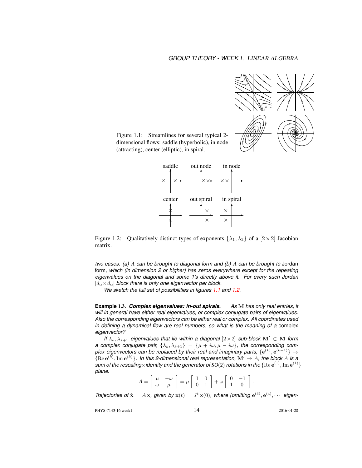

Figure 1.1: Streamlines for several typical 2 dimensional flows: saddle (hyperbolic), in node (attracting), center (elliptic), in spiral.



Figure 1.2: Qualitatively distinct types of exponents  $\{\lambda_1, \lambda_2\}$  of a  $[2 \times 2]$  Jacobian matrix.

*two cases: (a)* A *can be brought to diagonal form and (b)* A *can be brought to* Jordan form*, which (in dimension 2 or higher) has zeros everywhere except for the repeating eigenvalues on the diagonal and some 1's directly above it. For every such Jordan*  $[d_{\alpha} \times d_{\alpha}]$  *block there is only one eigenvector per block.* 

*We sketch the full set of possibilities in figures 1.1 and 1.2.*

**Example** 1.3. *Complex eigenvalues: in-out spirals. As* M *has only real entries, it will in general have either real eigenvalues, or complex conjugate pairs of eigenvalues. Also the corresponding eigenvectors can be either real or complex. All coordinates used in defining a dynamical flow are real numbers, so what is the meaning of a* complex *eigenvector?*

*If*  $\lambda_k, \lambda_{k+1}$  *eigenvalues that lie within a diagonal*  $[2 \times 2]$  *sub-block*  $M' \subset M$  *form a complex conjugate pair,*  $\{\lambda_k, \lambda_{k+1}\} = \{\mu + i\omega, \mu - i\omega\}$ , the corresponding complex eigenvectors can be replaced by their real and imaginary parts,  $\{{\bf e}^{(k)},{\bf e}^{(k+1)}\}\rightarrow$  $\{ \text{Re } e^{(k)}, \text{Im } e^{(k)} \}$ . In this 2-dimensional real representation,  $\mathbf{M}' \to A$ , the block A is a  $s$ um of the rescaling $\times$ identity and the generator of SO(2) rotations in the  $\{ {\rm Re}\, {\rm e}^{(1)}, {\rm Im}\, {\rm e}^{(1)} \}$ *plane.*

$$
A = \left[ \begin{array}{cc} \mu & -\omega \\ \omega & \mu \end{array} \right] = \mu \left[ \begin{array}{cc} 1 & 0 \\ 0 & 1 \end{array} \right] + \omega \left[ \begin{array}{cc} 0 & -1 \\ 1 & 0 \end{array} \right].
$$

*Trajectories of*  $\dot{\mathbf{x}} = A\mathbf{x}$ , given by  $\mathbf{x}(t) = J^t \mathbf{x}(0)$ , where (omitting  $\mathbf{e}^{(3)}$ ,  $\mathbf{e}^{(4)}$ ,  $\cdots$  eigen-

PHYS-7143-16 week1 2016-01-28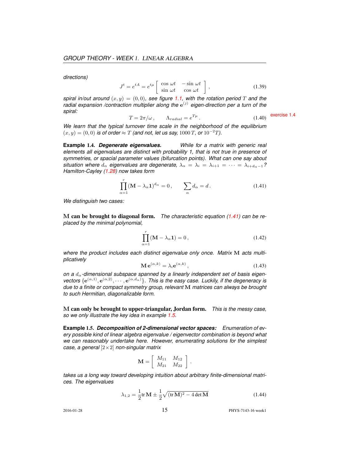*directions)*

$$
J^{t} = e^{tA} = e^{t\mu} \begin{bmatrix} \cos \omega t & -\sin \omega t \\ \sin \omega t & \cos \omega t \end{bmatrix},
$$
 (1.39)

*spiral in/out around*  $(x, y) = (0, 0)$ *, see figure* 1.1, with the rotation period T and the radial expansion /contraction multiplier along the  $e^{(j)}$  eigen-direction per a turn of the *spiral:*  $T = 2\pi/\omega$ ,  $\Lambda_{radial} = e^{T\mu}$ . (1.40) exercise 1.4

$$
T = 2\pi/\omega, \qquad \Lambda_{radial} = e^{T\mu} \,. \tag{1.40}
$$

*We learn that the typical turnover time scale in the neighborhood of the equilibrium*  $(x, y) = (0, 0)$  *is of order*  $\approx T$  *(and not, let us say, 1000 T, or 10<sup>-2</sup>T).* 

**Example** 1.4. *Degenerate eigenvalues. While for a matrix with generic real elements all eigenvalues are distinct with probability 1, that is not true in presence of symmetries, or spacial parameter values (bifurcation points). What can one say about situation where*  $d_{\alpha}$  *eigenvalues are degenerate,*  $\lambda_{\alpha} = \lambda_i = \lambda_{i+1} = \cdots = \lambda_{i+d_{\alpha}-1}$ ? *Hamilton-Cayley (1.28) now takes form*

$$
\prod_{\alpha=1}^{r} (\mathbf{M} - \lambda_{\alpha} \mathbf{1})^{d_{\alpha}} = 0, \qquad \sum_{\alpha} d_{\alpha} = d. \tag{1.41}
$$

*We distinguish two cases:*

M can be brought to diagonal form. *The characteristic equation (1.41) can be replaced by the minimal polynomial,*

$$
\prod_{\alpha=1}^{r} (\mathbf{M} - \lambda_{\alpha} \mathbf{1}) = 0, \qquad (1.42)
$$

*where the product includes each distinct eigenvalue only once. Matrix* M *acts multiplicatively*

$$
\mathbf{M} \,\mathbf{e}^{(\alpha,k)} = \lambda_i \mathbf{e}^{(\alpha,k)},\tag{1.43}
$$

*on a* dα*-dimensional subspace spanned by a linearly independent set of basis eigen*vectors  $\{e^{(\alpha,1)}, e^{(\alpha,2)}, \cdots, e^{(\alpha,d_\alpha)}\}$ . This is the easy case. Luckily, if the degeneracy is *due to a finite or compact symmetry group, relevant* M *matrices can always be brought to such Hermitian, diagonalizable form.*

M can only be brought to upper-triangular, Jordan form. *This is the messy case, so we only illustrate the key idea in example 1.5.*

**Example** 1.5. *Decomposition of 2-dimensional vector spaces: Enumeration of every possible kind of linear algebra eigenvalue / eigenvector combination is beyond what we can reasonably undertake here. However, enumerating solutions for the simplest case, a general* [2×2] *non-singular matrix*

$$
\mathbf{M} = \left[ \begin{array}{cc} M_{11} & M_{12} \\ M_{21} & M_{22} \end{array} \right].
$$

*takes us a long way toward developing intuition about arbitrary finite-dimensional matrices. The eigenvalues*

$$
\lambda_{1,2} = \frac{1}{2} \text{tr} \, \mathbf{M} \pm \frac{1}{2} \sqrt{(\text{tr} \, \mathbf{M})^2 - 4 \det \mathbf{M}}
$$
\n(1.44)

2016-01-28 15 PHYS-7143-16 week1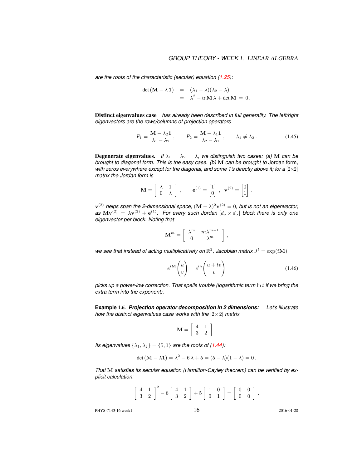*are the roots of the characteristic (secular) equation (1.25):*

$$
det (M - \lambda 1) = (\lambda_1 - \lambda)(\lambda_2 - \lambda)
$$
  
=  $\lambda^2 - tr M \lambda + det M = 0.$ 

Distinct eigenvalues case *has already been described in full generality. The left/right eigenvectors are the rows/columns of projection operators*

$$
P_1 = \frac{\mathbf{M} - \lambda_2 \mathbf{1}}{\lambda_1 - \lambda_2}, \qquad P_2 = \frac{\mathbf{M} - \lambda_1 \mathbf{1}}{\lambda_2 - \lambda_1}, \qquad \lambda_1 \neq \lambda_2.
$$
 (1.45)

**Degenerate eigenvalues.** *If*  $\lambda_1 = \lambda_2 = \lambda$ *, we distinguish two cases: (a)* M *can be brought to diagonal form. This is the easy case. (b)* M *can be brought to* Jordan form*, with zeros everywhere except for the diagonal, and some 1's directly above it; for a* [2×2] *matrix the Jordan form is*

$$
\mathbf{M} = \begin{bmatrix} \lambda & 1 \\ 0 & \lambda \end{bmatrix}, \qquad \mathbf{e}^{(1)} = \begin{bmatrix} 1 \\ 0 \end{bmatrix}, \ \mathbf{v}^{(2)} = \begin{bmatrix} 0 \\ 1 \end{bmatrix}.
$$

 ${\bf v}^{(2)}$  helps span the 2-dimensional space,  $({\bf M}-\lambda)^2{\bf v}^{(2)}=0,$  but is not an eigenvector,  $a$ s  $M{\bf v}^{(2)}\,=\,\lambda{\bf v}^{(2)}+{\bf e}^{(1)}.$  For every such Jordan  $[d_\alpha\times d_\alpha]$  block there is only one *eigenvector per block. Noting that*

$$
\mathbf{M}^m = \left[ \begin{array}{cc} \lambda^m & m \lambda^{m-1} \\ 0 & \lambda^m \end{array} \right] \,,
$$

we see that instead of acting multiplicatively on  $\mathbb{R}^2$ , Jacobian matrix  $J^t = \exp(t\mathbf{M})$ 

$$
e^{t\mathbf{M}}\begin{pmatrix} u \\ v \end{pmatrix} = e^{t\lambda} \begin{pmatrix} u+tv \\ v \end{pmatrix}
$$
 (1.46)

*picks up a power-low correction. That spells trouble (logarithmic term* ln t *if we bring the extra term into the exponent).*

**Example** 1.6. *Projection operator decomposition in 2 dimensions: Let's illustrate how the distinct eigenvalues case works with the* [2×2] *matrix*

$$
\mathbf{M} = \left[ \begin{array}{cc} 4 & 1 \\ 3 & 2 \end{array} \right]
$$

.

*Its eigenvalues*  $\{\lambda_1, \lambda_2\} = \{5, 1\}$  *are the roots of (1.44):* 

$$
\det (M - \lambda 1) = \lambda^2 - 6\lambda + 5 = (5 - \lambda)(1 - \lambda) = 0.
$$

*That* M *satisfies its secular equation (Hamilton-Cayley theorem) can be verified by explicit calculation:*

$$
\left[\begin{array}{cc}4 & 1\\3 & 2\end{array}\right]^2 - 6\left[\begin{array}{cc}4 & 1\\3 & 2\end{array}\right] + 5\left[\begin{array}{cc}1 & 0\\0 & 1\end{array}\right] = \left[\begin{array}{cc}0 & 0\\0 & 0\end{array}\right].
$$

PHYS-7143-16 week1 2016-01-28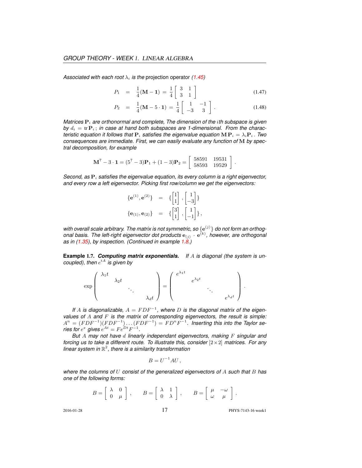*Associated with each root*  $\lambda_i$  *is the projection operator (1.45)* 

$$
P_1 = \frac{1}{4}(\mathbf{M} - \mathbf{1}) = \frac{1}{4} \begin{bmatrix} 3 & 1 \\ 3 & 1 \end{bmatrix}
$$
 (1.47)

$$
P_2 = \frac{1}{4}(\mathbf{M} - 5 \cdot \mathbf{1}) = \frac{1}{4} \begin{bmatrix} 1 & -1 \\ -3 & 3 \end{bmatrix}.
$$
 (1.48)

*Matrices*  $P_i$  *are orthonormal and complete, The dimension of the <i>ith subspace is given* by  $d_i = \text{tr } \mathbf{P}_i$ ; in case at hand both subspaces are 1-dimensional. From the charac*teristic equation it follows that*  $P_i$  *satisfies the eigenvalue equation*  $MP_i = \lambda_i P_i$ . *Two consequences are immediate. First, we can easily evaluate any function of* M *by spectral decomposition, for example*

$$
\mathbf{M}^7 - 3 \cdot \mathbf{1} = (5^7 - 3)\mathbf{P}_1 + (1 - 3)\mathbf{P}_2 = \begin{bmatrix} 58591 & 19531 \\ 58593 & 19529 \end{bmatrix}.
$$

*Second, as*  $P_i$  *satisfies the eigenvalue equation, its every column is a right eigenvector, and every row a left eigenvector. Picking first row/column we get the eigenvectors:*

$$
\begin{array}{rcl} \{{\bf e}^{(1)},{\bf e}^{(2)}\} &=& \{{\begin{bmatrix} 1 \\ 1 \end{bmatrix}}, {\begin{bmatrix} 1 \\ -3 \end{bmatrix}}\} \\ \{{\bf e}_{(1)},{\bf e}_{(2)}\} &=& {\{{\begin{bmatrix} 3 \\ 1 \end{bmatrix}}, {\begin{bmatrix} 1 \\ -1 \end{bmatrix}}}\}, \end{array}
$$

with overall scale arbitrary. The matrix is not symmetric, so  $\{e^{(j)}\}$  do not form an orthogonal basis. The left-right eigenvector dot products  $e_{(j)} \cdot e^{(k)}$ , however, are orthogonal *as in (1.35), by inspection. (Continued in example 1.8.)*

**Example** 1.7. *Computing matrix exponentials. If* A *is diagonal (the system is uncoupled), then*  $e^{tA}$  *is given by* 

$$
\exp\left(\begin{array}{ccc} \lambda_1 t & & \\ & \lambda_2 t & \\ & & \ddots & \\ & & & \lambda_d t \end{array}\right)=\left(\begin{array}{ccc} e^{\lambda_1 t} & & & \\ & e^{\lambda_2 t} & & \\ & & \ddots & \\ & & & e^{\lambda_d t} \end{array}\right).
$$

*If* A is diagonalizable,  $A = FDF^{-1}$ , where D is the diagonal matrix of the eigen*values of* A *and* F *is the matrix of corresponding eigenvectors, the result is simple:*  $A^n = (FDF^{-1})(FDF^{-1}) \dots (FDF^{-1}) = FD^nF^{-1}.$  Inserting this into the Taylor se*ries for*  $e^x$  gives  $e^{At} = Fe^{Dt}F^{-1}$ .

*But* A *may not have* d *linearly independant eigenvectors, making* F *singular and forcing us to take a different route. To illustrate this, consider* [ $2 \times 2$ ] *matrices. For any linear system in* R 2 *, there is a similarity transformation*

$$
B = U^{-1}AU,
$$

*where the columns of* U *consist of the generalized eigenvectors of* A *such that* B *has one of the following forms:*

$$
B = \left[ \begin{array}{cc} \lambda & 0 \\ 0 & \mu \end{array} \right], \qquad B = \left[ \begin{array}{cc} \lambda & 1 \\ 0 & \lambda \end{array} \right], \qquad B = \left[ \begin{array}{cc} \mu & -\omega \\ \omega & \mu \end{array} \right].
$$

2016-01-28 17 PHYS-7143-16 week1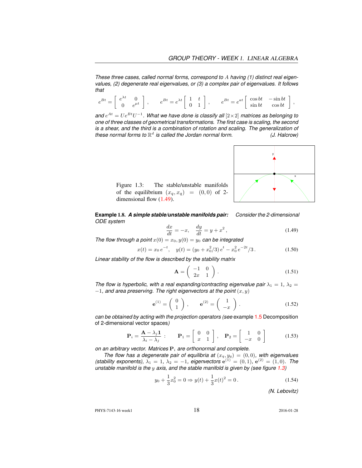*These three cases, called normal forms, correspond to* A *having (1) distinct real eigenvalues, (2) degenerate real eigenvalues, or (3) a complex pair of eigenvalues. It follows that*

|    |             | $\lambda t$<br>$_{Bt}$<br>$\overline{\phantom{0}}$ |  | $Bt$ $at$<br>$-$ | $\cos bt$ | $-\sin bt$          |  |
|----|-------------|----------------------------------------------------|--|------------------|-----------|---------------------|--|
| г. | $e^{\mu t}$ |                                                    |  |                  |           | $\sin bt$ $\cos bt$ |  |

and  $e^{At} = Ue^{Bt}U^{-1}$ . What we have done is classify all  $[2\times 2]$  matrices as belonging to *one of three classes of geometrical transformations. The first case is scaling, the second is a shear, and the third is a combination of rotation and scaling. The generalization of* these normal forms to  $\mathbb{R}^d$  is called the Jordan normal form.  $($ *J. Halcrow*)



Figure 1.3: The stable/unstable manifolds of the equilibrium  $(x_q, x_q) = (0, 0)$  of 2dimensional flow (1.49).

**Example** 1.8. *A simple stable/unstable manifolds pair: Consider the 2-dimensional ODE system*

$$
\frac{dx}{dt} = -x, \quad \frac{dy}{dt} = y + x^2,
$$
\n(1.49)

*The flow through a point*  $x(0) = x_0, y(0) = y_0$  *can be integrated* 

$$
x(t) = x_0 e^{-t}, \quad y(t) = (y_0 + x_0^2/3) e^t - x_0^2 e^{-2t}/3.
$$
 (1.50)

*Linear stability of the flow is described by the stability matrix*

$$
\mathbf{A} = \left( \begin{array}{cc} -1 & 0 \\ 2x & 1 \end{array} \right). \tag{1.51}
$$

*The flow is hyperbolic, with a real expanding/contracting eigenvalue pair*  $\lambda_1 = 1$ ,  $\lambda_2 = 1$  $-1$ , and area preserving. The right eigenvectors at the point  $(x, y)$ 

$$
\mathbf{e}^{(1)} = \begin{pmatrix} 0 \\ 1 \end{pmatrix}, \qquad \mathbf{e}^{(2)} = \begin{pmatrix} 1 \\ -x \end{pmatrix}.
$$
 (1.52)

*can be obtained by acting with the projection operators (see* example 1.5 Decomposition of 2-dimensional vector spaces*)*

$$
\mathbf{P}_{i} = \frac{\mathbf{A} - \lambda_{j}\mathbf{1}}{\lambda_{i} - \lambda_{j}}: \qquad \mathbf{P}_{1} = \left[ \begin{array}{cc} 0 & 0 \\ x & 1 \end{array} \right], \quad \mathbf{P}_{2} = \left[ \begin{array}{cc} 1 & 0 \\ -x & 0 \end{array} \right] \tag{1.53}
$$

*on an arbitrary vector. Matrices*  $P_i$  *are orthonormal and complete.* 

*The flow has a degenerate pair of equilibria at*  $(x_q, y_q) = (0, 0)$ *, with eigenvalues (stability exponents),*  $\lambda_1 = 1$ ,  $\lambda_2 = -1$ *, eigenvectors*  $e^{(1)} = (0, 1)$ *,*  $e^{(2)} = (1, 0)$ *. The unstable manifold is the* y *axis, and the stable manifold is given by (see figure 1.3)*

$$
y_0 + \frac{1}{3}x_0^2 = 0 \Rightarrow y(t) + \frac{1}{3}x(t)^2 = 0.
$$
 (1.54)

*(N. Lebovitz)*

PHYS-7143-16 week1 2016-01-28 2016-01-28 2016-01-28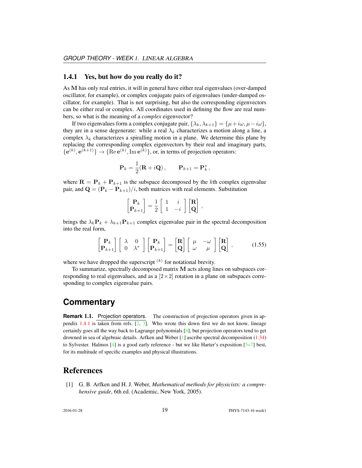#### 1.4.1 Yes, but how do you really do it?

As M has only real entries, it will in general have either real eigenvalues (over-damped oscillator, for example), or complex conjugate pairs of eigenvalues (under-damped oscillator, for example). That is not surprising, but also the corresponding eigenvectors can be either real or complex. All coordinates used in defining the flow are real numbers, so what is the meaning of a *complex* eigenvector?

If two eigenvalues form a complex conjugate pair,  $\{\lambda_k, \lambda_{k+1}\} = \{\mu + i\omega, \mu - i\omega\}$ , they are in a sense degenerate: while a real  $\lambda_k$  characterizes a motion along a line, a complex  $\lambda_k$  characterizes a spiralling motion in a plane. We determine this plane by replacing the corresponding complex eigenvectors by their real and imaginary parts,  ${e^{(k)}, e^{(k+1)}} \rightarrow {Re e^{(k)}, Im e^{(k)}}$ , or, in terms of projection operators:

$$
\mathbf{P}_k = \frac{1}{2}(\mathbf{R} + i\mathbf{Q}), \qquad \mathbf{P}_{k+1} = \mathbf{P}_k^*,
$$

where  $\mathbf{R} = \mathbf{P}_k + \mathbf{P}_{k+1}$  is the subspace decomposed by the kth complex eigenvalue pair, and  $\mathbf{Q} = (\mathbf{P}_k - \mathbf{P}_{k+1})/i$ , both matrices with real elements. Substitution

$$
\begin{bmatrix} \mathbf{P}_k \\ \mathbf{P}_{k+1} \end{bmatrix} = \frac{1}{2} \begin{bmatrix} 1 & i \\ 1 & -i \end{bmatrix} \begin{bmatrix} \mathbf{R} \\ \mathbf{Q} \end{bmatrix},
$$

brings the  $\lambda_k \mathbf{P}_k + \lambda_{k+1} \mathbf{P}_{k+1}$  complex eigenvalue pair in the spectral decomposition into the real form,

$$
\begin{bmatrix} \mathbf{P}_k \\ \mathbf{P}_{k+1} \end{bmatrix} \begin{bmatrix} \lambda & 0 \\ 0 & \lambda^* \end{bmatrix} \begin{bmatrix} \mathbf{P}_k \\ \mathbf{P}_{k+1} \end{bmatrix} = \begin{bmatrix} \mathbf{R} \\ \mathbf{Q} \end{bmatrix} \begin{bmatrix} \mu & -\omega \\ \omega & \mu \end{bmatrix} \begin{bmatrix} \mathbf{R} \\ \mathbf{Q} \end{bmatrix},
$$
(1.55)

where we have dropped the superscript  $(k)$  for notational brevity.

To summarize, spectrally decomposed matrix M acts along lines on subspaces corresponding to real eigenvalues, and as a  $[2 \times 2]$  rotation in a plane on subspaces corresponding to complex eigenvalue pairs.

### **Commentary**

**Remark 1.1.** Projection operators. The construction of projection operators given in appendix  $1.4.1$  is taken from refs.  $[2, 3]$ . Who wrote this down first we do not know, lineage certainly goes all the way back to Lagrange polynomials  $[8]$ , but projection operators tend to get drowned in sea of algebraic details. Arfken and Weber [1] ascribe spectral decomposition (1.34) to Sylvester. Halmos  $[4]$  is a good early reference - but we like Harter's exposition  $[5-7]$  best, for its multitude of specific examples and physical illustrations.

#### References

[1] G. B. Arfken and H. J. Weber, *Mathematical methods for physicists: a comprehensive guide*, 6th ed. (Academic, New York, 2005).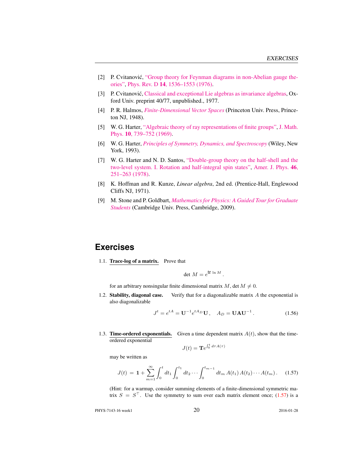- [2] P. Cvitanović, ["Group theory for Feynman diagrams in non-Abelian gauge the](http://dx.doi.org/10.1103/PhysRevD.14.1536)[ories",](http://dx.doi.org/10.1103/PhysRevD.14.1536) Phys. Rev. D 14[, 1536–1553 \(1976\).](http://dx.doi.org/10.1103/PhysRevD.14.1536)
- [3] P. Cvitanović, [Classical and exceptional Lie algebras as invariance algebras,](http://birdtracks.eu/refs/OxfordPrepr.pdf) Oxford Univ. preprint 40/77, unpublished., 1977.
- [4] P. R. Halmos, *[Finite-Dimensional Vector Spaces](http://books.google.com/books?vid=ISBN9780691090955)* (Princeton Univ. Press, Princeton NJ, 1948).
- [5] W. G. Harter, ["Algebraic theory of ray representations of finite groups",](http://dx.doi.org/10.1063/1.1664901) [J. Math.](http://dx.doi.org/10.1063/1.1664901) Phys. 10[, 739–752 \(1969\).](http://dx.doi.org/10.1063/1.1664901)
- [6] W. G. Harter, *[Principles of Symmetry, Dynamics, and Spectroscopy](http://www.uark.edu/ua/modphys/markup/PSDS_Info.html)* (Wiley, New York, 1993).
- [7] W. G. Harter and N. D. Santos, ["Double-group theory on the half-shell and the](http://dx.doi.org/10.1119/1.11134) [two-level system. I. Rotation and half-integral spin states",](http://dx.doi.org/10.1119/1.11134) [Amer. J. Phys.](http://dx.doi.org/10.1119/1.11134) 46, [251–263 \(1978\).](http://dx.doi.org/10.1119/1.11134)
- [8] K. Hoffman and R. Kunze, *Linear algebra*, 2nd ed. (Prentice-Hall, Englewood Cliffs NJ, 1971).
- [9] M. Stone and P. Goldbart, *[Mathematics for Physics: A Guided Tour for Graduate](http://books.google.com/books?vid=ISBN9780521854030) [Students](http://books.google.com/books?vid=ISBN9780521854030)* (Cambridge Univ. Press, Cambridge, 2009).

### **Exercises**

1.1. Trace-log of a matrix. Prove that

$$
\det M = e^{\text{tr}\ln M}.
$$

for an arbitrary nonsingular finite dimensional matrix  $M$ , det  $M \neq 0$ .

1.2. Stability, diagonal case. Verify that for a diagonalizable matrix  $A$  the exponential is also diagonalizable

$$
J^{t} = e^{tA} = U^{-1} e^{tA_D} U, \quad A_D = UAU^{-1}.
$$
 (1.56)

1.3. **Time-ordered exponentials.** Given a time dependent matrix  $A(t)$ , show that the timeordered exponential

$$
J(t) = \mathbf{T}e^{\int_0^t d\tau A(\tau)}
$$

may be written as

$$
J(t) = \mathbf{1} + \sum_{m=1}^{\infty} \int_0^t dt_1 \int_0^{t_1} dt_2 \cdots \int_0^{t_{m-1}} dt_m A(t_1) A(t_2) \cdots A(t_m).
$$
 (1.57)

(Hint: for a warmup, consider summing elements of a finite-dimensional symmetric matrix  $S = S^{\top}$ . Use the symmetry to sum over each matrix element once; (1.57) is a

PHYS-7143-16 week1 20 2016-01-28